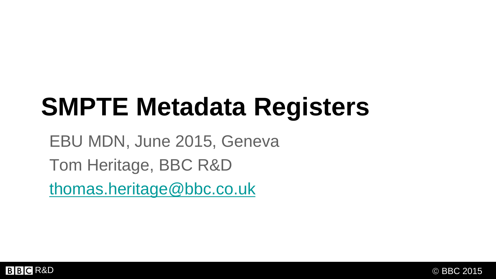# **SMPTE Metadata Registers**

EBU MDN, June 2015, Geneva Tom Heritage, BBC R&D [thomas.heritage@bbc.co.uk](mailto:thomas.heritage@bbc.co.uk)

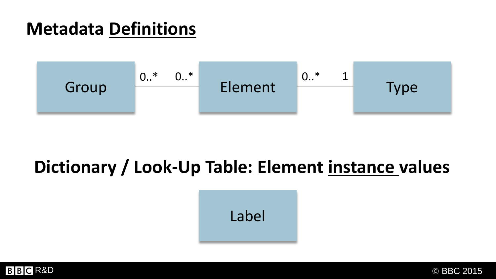### **Metadata Definitions**



## **Dictionary / Look-Up Table: Element instance values**

Label

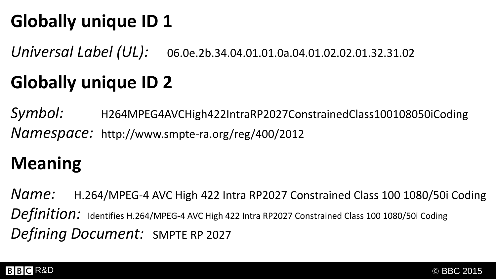## **Globally unique ID 1**

*Universal Label (UL):* 06.0e.2b.34.04.01.01.0a.04.01.02.02.01.32.31.02

## **Globally unique ID 2**

*Symbol:* H264MPEG4AVCHigh422IntraRP2027ConstrainedClass100108050iCoding *Namespace:* http://www.smpte-ra.org/reg/400/2012

## **Meaning**

*Name:* H.264/MPEG-4 AVC High 422 Intra RP2027 Constrained Class 100 1080/50i Coding *Definition:* Identifies H.264/MPEG-4 AVC High 422 Intra RP2027 Constrained Class 100 1080/50i Coding *Defining Document:* SMPTE RP 2027

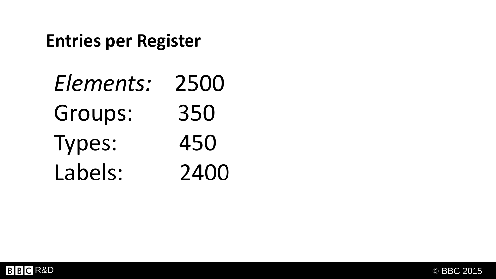### **Entries per Register**

| Elements:      | 2500 |
|----------------|------|
| <b>Groups:</b> | 350  |
| Types:         | 450  |
| Labels:        | 2400 |

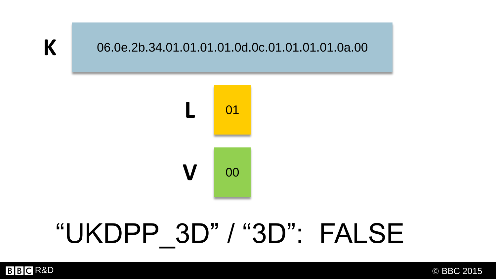**K**

# "UKDPP 3D" / "3D": FALSE



06.0e.2b.34.01.01.01.01.0d.0c.01.01.01.01.0a.00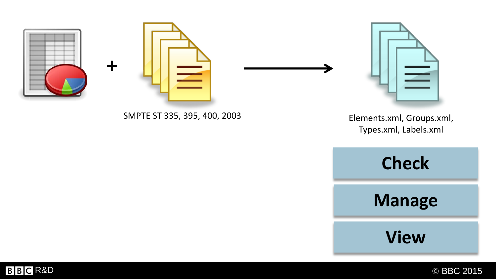

**BBC** R&D © BBC 2015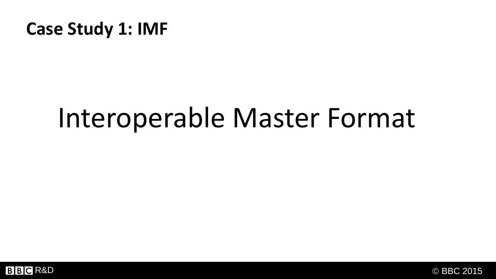### **Case Study 1: IMF**

# Interoperable Master Format



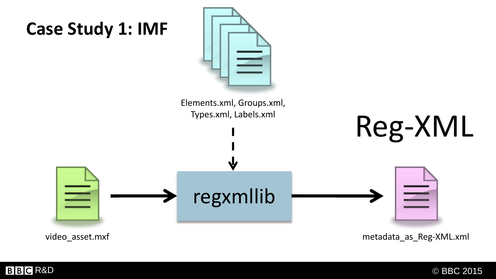

metadata\_as\_Reg-XML.xml

video\_asset.mxf

**BBC** R&D © BBC 2015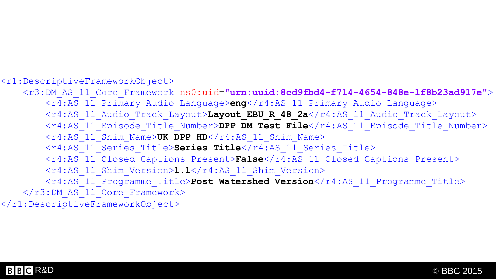#### <r1:DescriptiveFrameworkObject>

<r3:DM\_AS\_11\_Core\_Framework ns0:uid=**"urn:uuid:8cd9fbd4-f714-4654-848e-1f8b23ad917e"**> <r4:AS\_11\_Primary\_Audio\_Language>**eng**</r4:AS\_11\_Primary\_Audio\_Language> <r4:AS\_11\_Audio\_Track\_Layout>**Layout\_EBU\_R\_48\_2a**</r4:AS\_11\_Audio\_Track\_Layout> <r4:AS\_11\_Episode\_Title\_Number>**DPP DM Test File**</r4:AS\_11\_Episode\_Title\_Number> <r4:AS\_11\_Shim\_Name>**UK DPP HD**</r4:AS\_11\_Shim\_Name> <r4:AS\_11\_Series\_Title>**Series Title**</r4:AS\_11\_Series\_Title> <r4:AS\_11\_Closed\_Captions\_Present>**False**</r4:AS\_11\_Closed\_Captions\_Present> <r4:AS\_11\_Shim\_Version>**1.1**</r4:AS\_11\_Shim\_Version> <r4:AS\_11\_Programme\_Title>Post Watershed Version</r4:AS\_11\_Programme\_Title> </r3:DM\_AS\_11\_Core\_Framework> </r1:DescriptiveFrameworkObject>

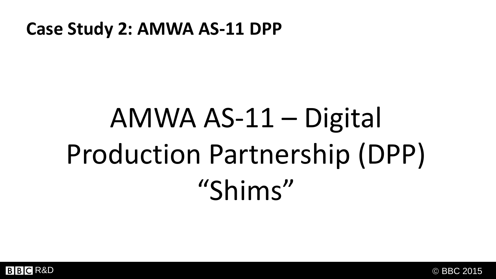### **Case Study 2: AMWA AS-11 DPP**

# AMWA AS-11 – Digital Production Partnership (DPP) "Shims"